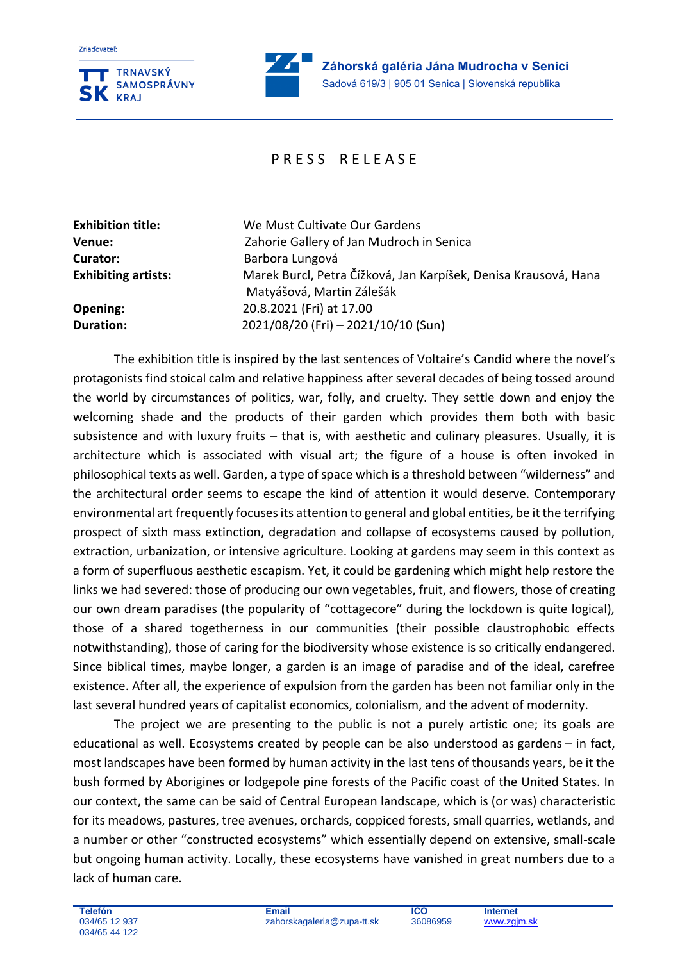

į,

## PRESS REIFASE

**Exhibition title:** We Must Cultivate Our Gardens **Curator:** Barbora Lungová

**Venue:** Zahorie Gallery of Jan Mudroch in Senica **Exhibiting artists:** Marek Burcl, Petra Čížková, Jan Karpíšek, Denisa Krausová, Hana Matyášová, Martin Zálešák **Opening:** 20.8.2021 (Fri) at 17.00 **Duration:** 2021/08/20 (Fri) – 2021/10/10 (Sun)

The exhibition title is inspired by the last sentences of Voltaire's Candid where the novel's protagonists find stoical calm and relative happiness after several decades of being tossed around the world by circumstances of politics, war, folly, and cruelty. They settle down and enjoy the welcoming shade and the products of their garden which provides them both with basic subsistence and with luxury fruits – that is, with aesthetic and culinary pleasures. Usually, it is architecture which is associated with visual art; the figure of a house is often invoked in philosophical texts as well. Garden, a type of space which is a threshold between "wilderness" and the architectural order seems to escape the kind of attention it would deserve. Contemporary environmental art frequently focuses its attention to general and global entities, be it the terrifying prospect of sixth mass extinction, degradation and collapse of ecosystems caused by pollution, extraction, urbanization, or intensive agriculture. Looking at gardens may seem in this context as a form of superfluous aesthetic escapism. Yet, it could be gardening which might help restore the links we had severed: those of producing our own vegetables, fruit, and flowers, those of creating our own dream paradises (the popularity of "cottagecore" during the lockdown is quite logical), those of a shared togetherness in our communities (their possible claustrophobic effects notwithstanding), those of caring for the biodiversity whose existence is so critically endangered. Since biblical times, maybe longer, a garden is an image of paradise and of the ideal, carefree existence. After all, the experience of expulsion from the garden has been not familiar only in the last several hundred years of capitalist economics, colonialism, and the advent of modernity.

The project we are presenting to the public is not a purely artistic one; its goals are educational as well. Ecosystems created by people can be also understood as gardens – in fact, most landscapes have been formed by human activity in the last tens of thousands years, be it the bush formed by Aborigines or lodgepole pine forests of the Pacific coast of the United States. In our context, the same can be said of Central European landscape, which is (or was) characteristic for its meadows, pastures, tree avenues, orchards, coppiced forests, small quarries, wetlands, and a number or other "constructed ecosystems" which essentially depend on extensive, small-scale but ongoing human activity. Locally, these ecosystems have vanished in great numbers due to a lack of human care.

**IČO**